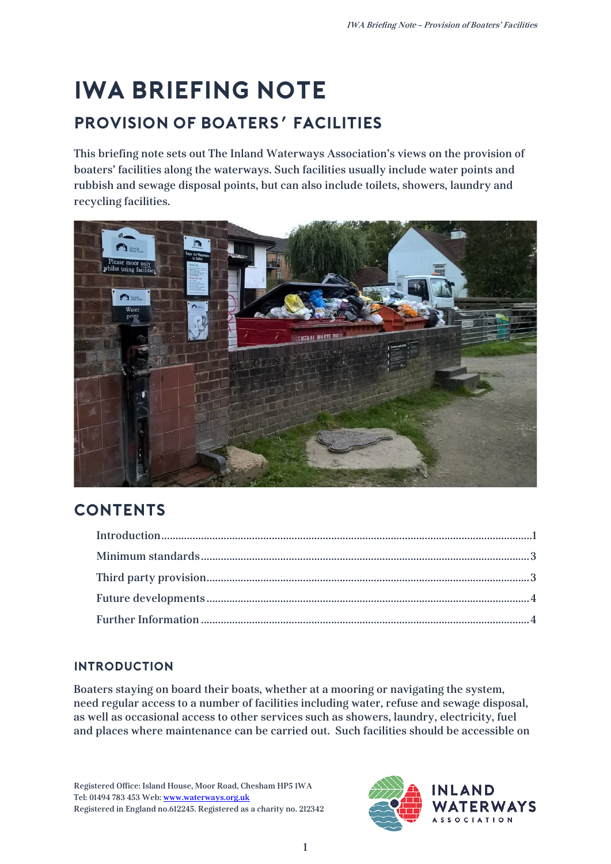# **IWA Briefing Note Provision of boaters' facilities**

This briefing note sets out The Inland Waterways Association's views on the provision of boaters' facilities along the waterways. Such facilities usually include water points and rubbish and sewage disposal points, but can also include toilets, showers, laundry and recycling facilities.



## **Contents**

### <span id="page-0-0"></span>**Introduction**

Boaters staying on board their boats, whether at a mooring or navigating the system, need regular access to a number of facilities including water, refuse and sewage disposal, as well as occasional access to other services such as showers, laundry, electricity, fuel and places where maintenance can be carried out. Such facilities should be accessible on

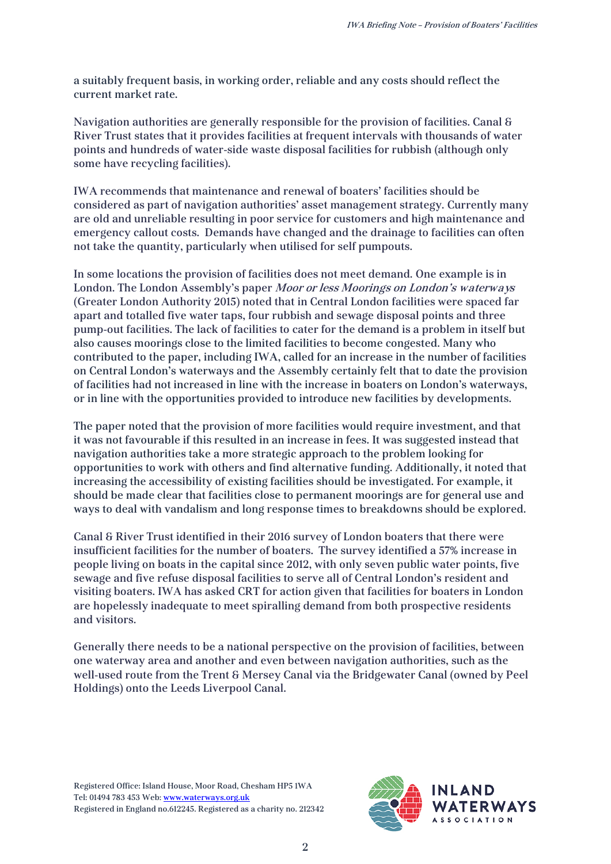a suitably frequent basis, in working order, reliable and any costs should reflect the current market rate.

Navigation authorities are generally responsible for the provision of facilities. Canal & River Trust states that it provides facilities at frequent intervals with thousands of water points and hundreds of water-side waste disposal facilities for rubbish (although only some have recycling facilities).

IWA recommends that maintenance and renewal of boaters' facilities should be considered as part of navigation authorities' asset management strategy. Currently many are old and unreliable resulting in poor service for customers and high maintenance and emergency callout costs. Demands have changed and the drainage to facilities can often not take the quantity, particularly when utilised for self pumpouts.

In some locations the provision of facilities does not meet demand. One example is in London. The London Assembly's paper Moor or less Moorings on London's waterways (Greater London Authority 2015) noted that in Central London facilities were spaced far apart and totalled five water taps, four rubbish and sewage disposal points and three pump-out facilities. The lack of facilities to cater for the demand is a problem in itself but also causes moorings close to the limited facilities to become congested. Many who contributed to the paper, including IWA, called for an increase in the number of facilities on Central London's waterways and the Assembly certainly felt that to date the provision of facilities had not increased in line with the increase in boaters on London's waterways, or in line with the opportunities provided to introduce new facilities by developments.

The paper noted that the provision of more facilities would require investment, and that it was not favourable if this resulted in an increase in fees. It was suggested instead that navigation authorities take a more strategic approach to the problem looking for opportunities to work with others and find alternative funding. Additionally, it noted that increasing the accessibility of existing facilities should be investigated. For example, it should be made clear that facilities close to permanent moorings are for general use and ways to deal with vandalism and long response times to breakdowns should be explored.

Canal & River Trust identified in their 2016 survey of London boaters that there were insufficient facilities for the number of boaters. The survey identified a 57% increase in people living on boats in the capital since 2012, with only seven public water points, five sewage and five refuse disposal facilities to serve all of Central London's resident and visiting boaters. IWA has asked CRT for action given that facilities for boaters in London are hopelessly inadequate to meet spiralling demand from both prospective residents and visitors.

Generally there needs to be a national perspective on the provision of facilities, between one waterway area and another and even between navigation authorities, such as the well-used route from the Trent & Mersey Canal via the Bridgewater Canal (owned by Peel Holdings) onto the Leeds Liverpool Canal.

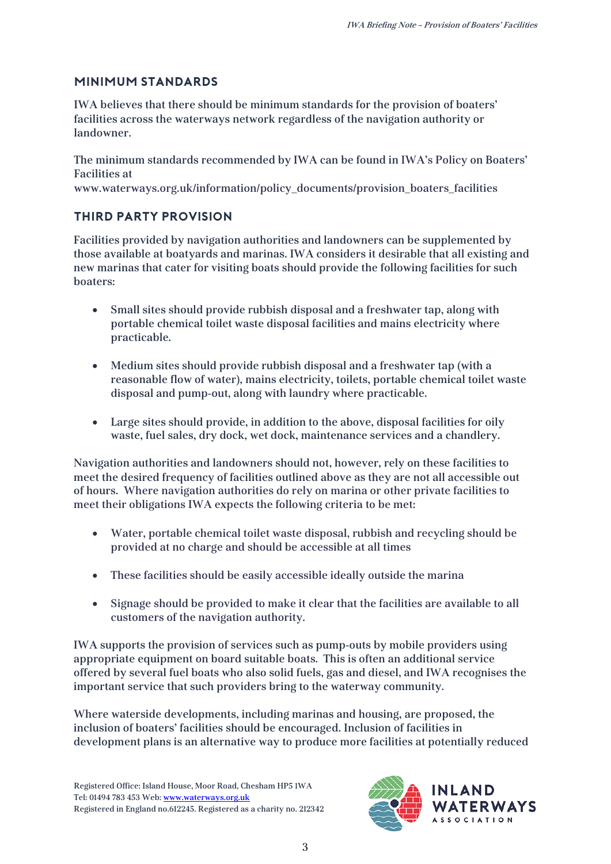#### <span id="page-2-0"></span>**Minimum standards**

IWA believes that there should be minimum standards for the provision of boaters' facilities across the waterways network regardless of the navigation authority or landowner.

The minimum standards recommended by IWA can be found in IWA's Policy on Boaters' Facilities at

www.waterways.org.uk/information/policy\_documents/provision\_boaters\_facilities

#### <span id="page-2-1"></span>**Third party provision**

Facilities provided by navigation authorities and landowners can be supplemented by those available at boatyards and marinas. IWA considers it desirable that all existing and new marinas that cater for visiting boats should provide the following facilities for such boaters:

- Small sites should provide rubbish disposal and a freshwater tap, along with portable chemical toilet waste disposal facilities and mains electricity where practicable.
- Medium sites should provide rubbish disposal and a freshwater tap (with a reasonable flow of water), mains electricity, toilets, portable chemical toilet waste disposal and pump-out, along with laundry where practicable.
- Large sites should provide, in addition to the above, disposal facilities for oily waste, fuel sales, dry dock, wet dock, maintenance services and a chandlery.

Navigation authorities and landowners should not, however, rely on these facilities to meet the desired frequency of facilities outlined above as they are not all accessible out of hours. Where navigation authorities do rely on marina or other private facilities to meet their obligations IWA expects the following criteria to be met:

- Water, portable chemical toilet waste disposal, rubbish and recycling should be provided at no charge and should be accessible at all times
- These facilities should be easily accessible ideally outside the marina
- Signage should be provided to make it clear that the facilities are available to all customers of the navigation authority.

IWA supports the provision of services such as pump-outs by mobile providers using appropriate equipment on board suitable boats. This is often an additional service offered by several fuel boats who also solid fuels, gas and diesel, and IWA recognises the important service that such providers bring to the waterway community.

Where waterside developments, including marinas and housing, are proposed, the inclusion of boaters' facilities should be encouraged. Inclusion of facilities in development plans is an alternative way to produce more facilities at potentially reduced

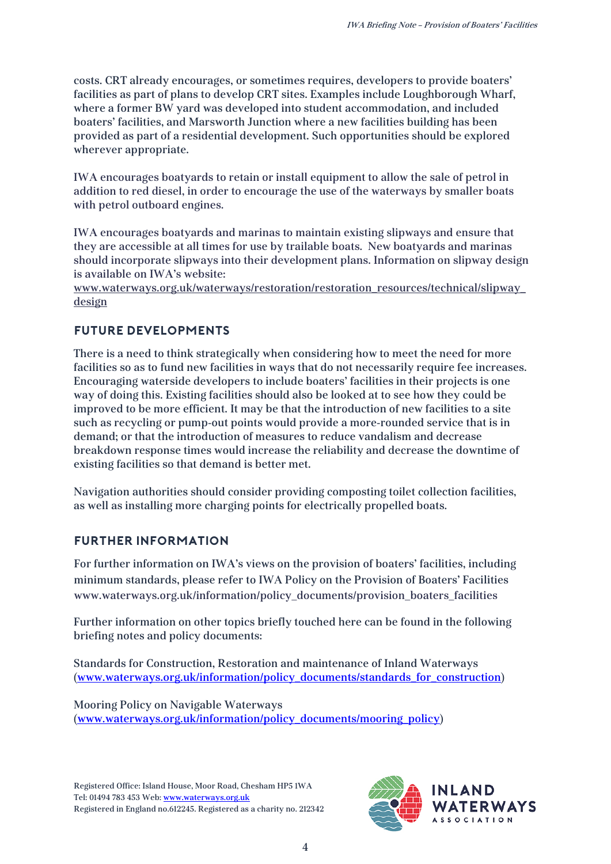costs. CRT already encourages, or sometimes requires, developers to provide boaters' facilities as part of plans to develop CRT sites. Examples include Loughborough Wharf, where a former BW yard was developed into student accommodation, and included boaters' facilities, and Marsworth Junction where a new facilities building has been provided as part of a residential development. Such opportunities should be explored wherever appropriate.

IWA encourages boatyards to retain or install equipment to allow the sale of petrol in addition to red diesel, in order to encourage the use of the waterways by smaller boats with petrol outboard engines.

IWA encourages boatyards and marinas to maintain existing slipways and ensure that they are accessible at all times for use by trailable boats. New boatyards and marinas should incorporate slipways into their development plans. Information on slipway design is available on IWA's website:

[www.waterways.org.uk/waterways/restoration/restoration\\_resources/technical/slipway\\_](http://www.waterways.org.uk/waterways/restoration/restoration_resources/technical/slipway_design) [design](http://www.waterways.org.uk/waterways/restoration/restoration_resources/technical/slipway_design)

#### <span id="page-3-0"></span>**Future developments**

There is a need to think strategically when considering how to meet the need for more facilities so as to fund new facilities in ways that do not necessarily require fee increases. Encouraging waterside developers to include boaters' facilities in their projects is one way of doing this. Existing facilities should also be looked at to see how they could be improved to be more efficient. It may be that the introduction of new facilities to a site such as recycling or pump-out points would provide a more-rounded service that is in demand; or that the introduction of measures to reduce vandalism and decrease breakdown response times would increase the reliability and decrease the downtime of existing facilities so that demand is better met.

Navigation authorities should consider providing composting toilet collection facilities, as well as installing more charging points for electrically propelled boats.

#### <span id="page-3-1"></span>**Further Information**

For further information on IWA's views on the provision of boaters' facilities, including minimum standards, please refer to IWA Policy on the Provision of Boaters' Facilities www.waterways.org.uk/information/policy\_documents/provision\_boaters\_facilities

Further information on other topics briefly touched here can be found in the following briefing notes and policy documents:

Standards for Construction, Restoration and maintenance of Inland Waterways [\(www.waterways.org.uk/information/policy\\_documents/standards\\_for\\_construction\)](http://www.waterways.org.uk/information/policy_documents/standards_for_construction)

Mooring Policy on Navigable Waterways [\(www.waterways.org.uk/information/policy\\_documents/mooring\\_policy\)](http://www.waterways.org.uk/information/policy_documents/mooring_policy)